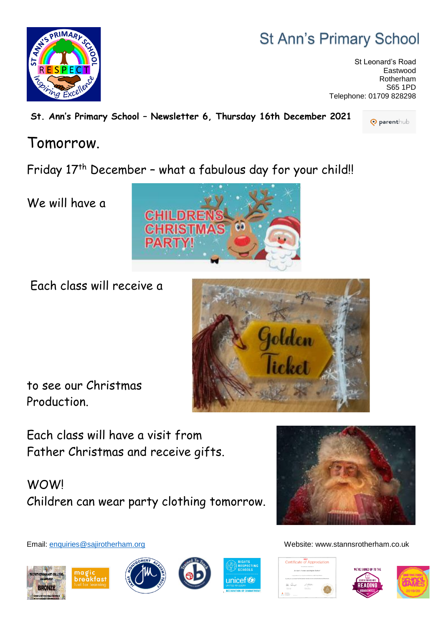## **St Ann's Primary School**

St Leonard's Road Eastwood Rotherham S65 1PD Telephone: 01709 828298

**St. Ann's Primary School – Newsletter 6, Thursday 16th December 2021**

## Tomorrow.

Friday 17<sup>th</sup> December - what a fabulous day for your child!!

**CHRIST** 

**PART** 

We will have a

Each class will receive a

Each class will have a visit from Father Christmas and receive gifts.

WOW! Children can wear party clothing tomorrow.



















Email: [enquiries@sajirotherham.org](mailto:enquiries@sajirotherham.org) Website: www.stannsrotherham.co.uk

to see our Christmas Production.